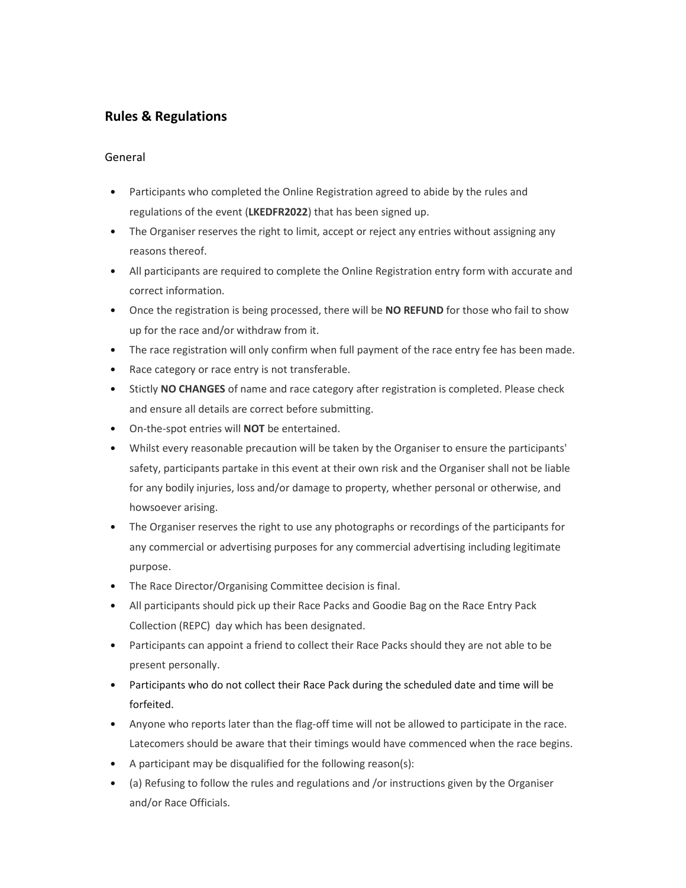# **Rules & Regulations**

## General

- Participants who completed the Online Registration agreed to abide by the rules and regulations of the event (**LKEDFR2022**) that has been signed up.
- The Organiser reserves the right to limit, accept or reject any entries without assigning any reasons thereof.
- All participants are required to complete the Online Registration entry form with accurate and correct information.
- Once the registration is being processed, there will be **NO REFUND** for those who fail to show up for the race and/or withdraw from it.
- The race registration will only confirm when full payment of the race entry fee has been made.
- Race category or race entry is not transferable.
- Stictly **NO CHANGES** of name and race category after registration is completed. Please check and ensure all details are correct before submitting.
- On-the-spot entries will **NOT** be entertained.
- Whilst every reasonable precaution will be taken by the Organiser to ensure the participants' safety, participants partake in this event at their own risk and the Organiser shall not be liable for any bodily injuries, loss and/or damage to property, whether personal or otherwise, and howsoever arising.
- The Organiser reserves the right to use any photographs or recordings of the participants for any commercial or advertising purposes for any commercial advertising including legitimate purpose.
- The Race Director/Organising Committee decision is final.
- All participants should pick up their Race Packs and Goodie Bag on the Race Entry Pack Collection (REPC) day which has been designated.
- Participants can appoint a friend to collect their Race Packs should they are not able to be present personally.
- Participants who do not collect their Race Pack during the scheduled date and time will be forfeited.
- Anyone who reports later than the flag-off time will not be allowed to participate in the race. Latecomers should be aware that their timings would have commenced when the race begins.
- A participant may be disqualified for the following reason(s):
- (a) Refusing to follow the rules and regulations and /or instructions given by the Organiser and/or Race Officials.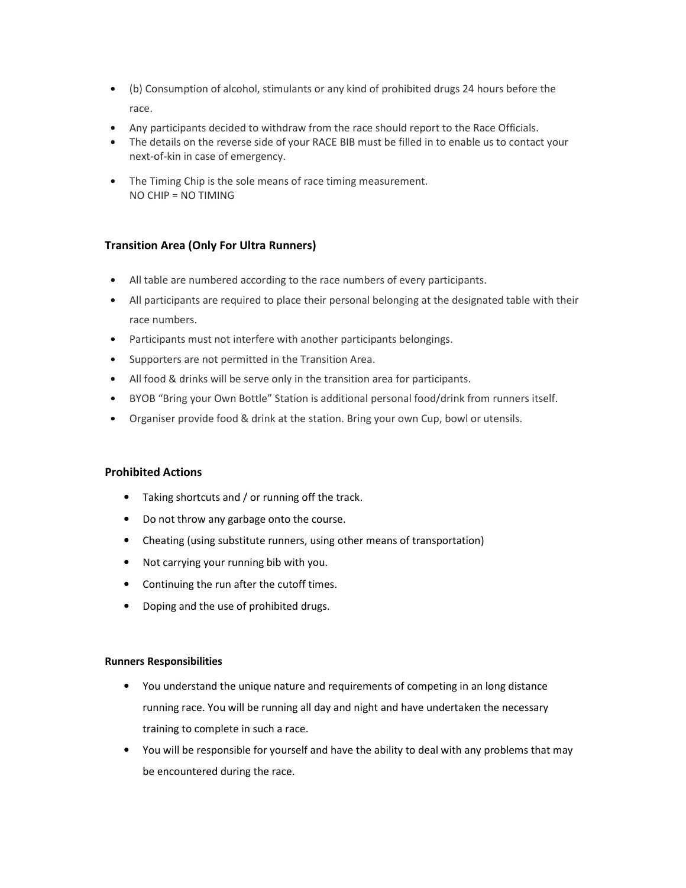- (b) Consumption of alcohol, stimulants or any kind of prohibited drugs 24 hours before the race.
- Any participants decided to withdraw from the race should report to the Race Officials.
- The details on the reverse side of your RACE BIB must be filled in to enable us to contact your next-of-kin in case of emergency.
- The Timing Chip is the sole means of race timing measurement. NO CHIP = NO TIMING

# **Transition Area (Only For Ultra Runners)**

- All table are numbered according to the race numbers of every participants.
- All participants are required to place their personal belonging at the designated table with their race numbers.
- Participants must not interfere with another participants belongings.
- Supporters are not permitted in the Transition Area.
- All food & drinks will be serve only in the transition area for participants.
- BYOB "Bring your Own Bottle" Station is additional personal food/drink from runners itself.
- Organiser provide food & drink at the station. Bring your own Cup, bowl or utensils.

#### **Prohibited Actions**

- Taking shortcuts and / or running off the track.
- Do not throw any garbage onto the course.
- Cheating (using substitute runners, using other means of transportation)
- Not carrying your running bib with you.
- Continuing the run after the cutoff times.
- Doping and the use of prohibited drugs.

#### **Runners Responsibilities**

- You understand the unique nature and requirements of competing in an long distance running race. You will be running all day and night and have undertaken the necessary training to complete in such a race.
- You will be responsible for yourself and have the ability to deal with any problems that may be encountered during the race.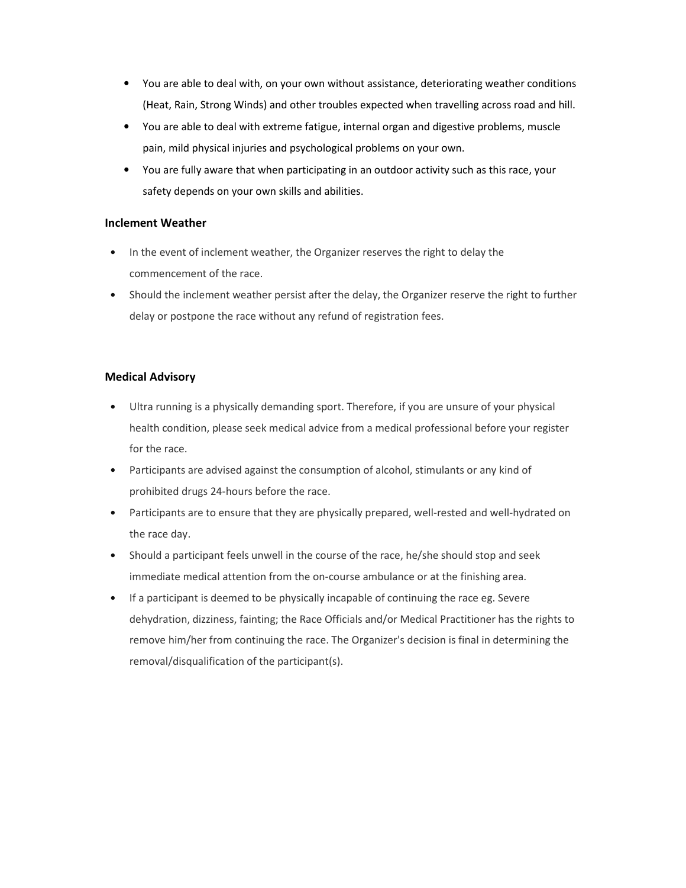- You are able to deal with, on your own without assistance, deteriorating weather conditions (Heat, Rain, Strong Winds) and other troubles expected when travelling across road and hill.
- You are able to deal with extreme fatigue, internal organ and digestive problems, muscle pain, mild physical injuries and psychological problems on your own.
- You are fully aware that when participating in an outdoor activity such as this race, your safety depends on your own skills and abilities.

## **Inclement Weather**

- In the event of inclement weather, the Organizer reserves the right to delay the commencement of the race.
- Should the inclement weather persist after the delay, the Organizer reserve the right to further delay or postpone the race without any refund of registration fees.

# **Medical Advisory**

- Ultra running is a physically demanding sport. Therefore, if you are unsure of your physical health condition, please seek medical advice from a medical professional before your register for the race.
- Participants are advised against the consumption of alcohol, stimulants or any kind of prohibited drugs 24-hours before the race.
- Participants are to ensure that they are physically prepared, well-rested and well-hydrated on the race day.
- Should a participant feels unwell in the course of the race, he/she should stop and seek immediate medical attention from the on-course ambulance or at the finishing area.
- If a participant is deemed to be physically incapable of continuing the race eg. Severe dehydration, dizziness, fainting; the Race Officials and/or Medical Practitioner has the rights to remove him/her from continuing the race. The Organizer's decision is final in determining the removal/disqualification of the participant(s).